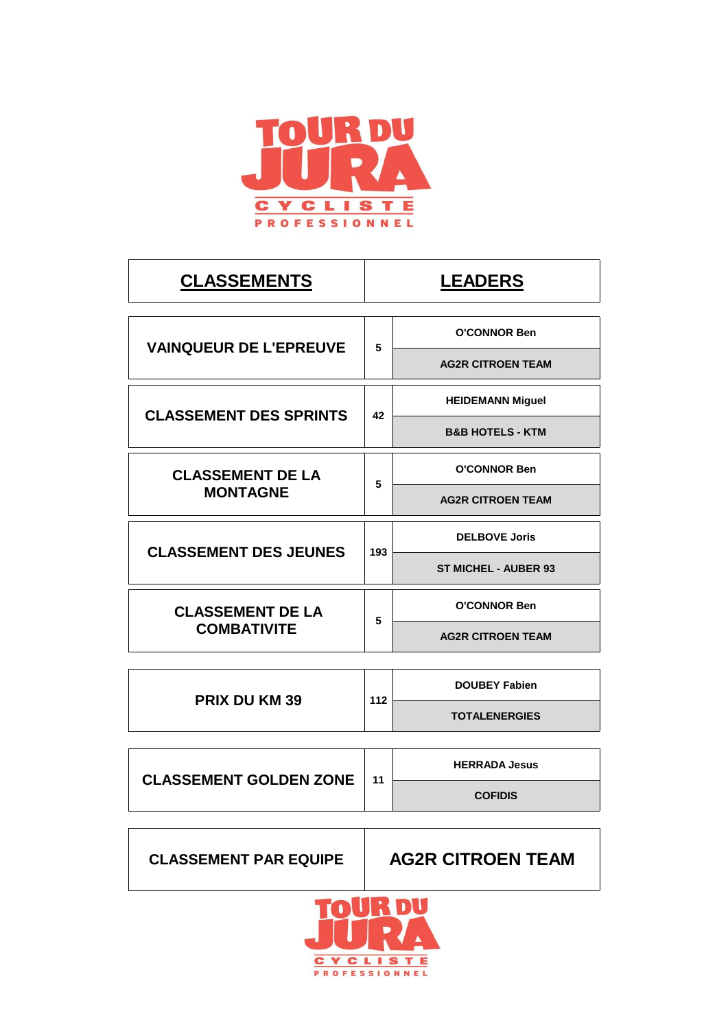

|     | <b>LEADERS</b>                                         |
|-----|--------------------------------------------------------|
| 5   | <b>O'CONNOR Ben</b>                                    |
|     | <b>AG2R CITROEN TEAM</b>                               |
| 42  | <b>HEIDEMANN Miguel</b><br><b>B&amp;B HOTELS - KTM</b> |
|     | <b>O'CONNOR Ben</b>                                    |
|     | <b>AG2R CITROEN TEAM</b>                               |
| 193 | <b>DELBOVE Joris</b>                                   |
|     | <b>ST MICHEL - AUBER 93</b>                            |
| 5   | <b>O'CONNOR Ben</b>                                    |
|     | <b>AG2R CITROEN TEAM</b>                               |
|     | <b>DOUBEY Fabien</b>                                   |
|     | <b>TOTALENERGIES</b>                                   |
|     | 5<br>112                                               |

| <b>CLASSEMENT GOLDEN ZONE</b> | 11 | <b>HERRADA Jesus</b> |
|-------------------------------|----|----------------------|
|                               |    | <b>COFIDIS</b>       |

**CLASSEMENT PAR EQUIPE**

**AG2R CITROEN TEAM**

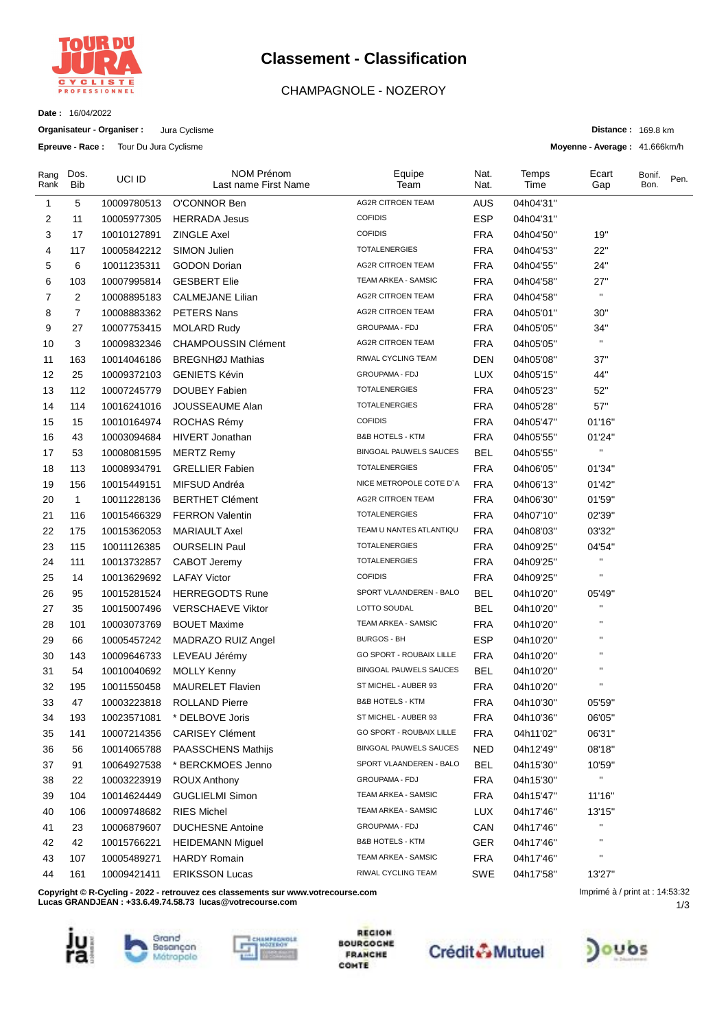

# **Classement - Classification**

## CHAMPAGNOLE - NOZEROY

**Date :** 16/04/2022

**Organisateur - Organiser :** Jura Cyclisme **Epreuve - Race :** Tour Du Jura Cyclisme

**Distance :** 169.8 km

**Moyenne - Average :** 41.666km/h

| Rang<br>Rank | Dos.<br>Bib  | UCI ID      | NOM Prénom<br>Last name First Name                                               | Equipe<br>Team                | Nat.<br>Nat. | Temps<br>Time | Ecart<br>Gap                    | Bonif.<br>Bon. | Pen. |
|--------------|--------------|-------------|----------------------------------------------------------------------------------|-------------------------------|--------------|---------------|---------------------------------|----------------|------|
| 1            | 5            | 10009780513 | O'CONNOR Ben                                                                     | <b>AG2R CITROEN TEAM</b>      | <b>AUS</b>   | 04h04'31"     |                                 |                |      |
| 2            | 11           | 10005977305 | <b>HERRADA Jesus</b>                                                             | <b>COFIDIS</b>                | ESP          | 04h04'31"     |                                 |                |      |
| 3            | 17           | 10010127891 | <b>ZINGLE Axel</b>                                                               | <b>COFIDIS</b>                | <b>FRA</b>   | 04h04'50''    | 19"                             |                |      |
| 4            | 117          | 10005842212 | SIMON Julien                                                                     | <b>TOTALENERGIES</b>          | FRA          | 04h04'53"     | 22"                             |                |      |
| 5            | 6            | 10011235311 | <b>GODON Dorian</b>                                                              | <b>AG2R CITROEN TEAM</b>      | <b>FRA</b>   | 04h04'55"     | 24"                             |                |      |
| 6            | 103          | 10007995814 | <b>GESBERT Elie</b>                                                              | TEAM ARKEA - SAMSIC           | <b>FRA</b>   | 04h04'58"     | 27"                             |                |      |
| 7            | 2            | 10008895183 | <b>CALMEJANE Lilian</b>                                                          | <b>AG2R CITROEN TEAM</b>      | <b>FRA</b>   | 04h04'58"     | $\mathbf{H}$                    |                |      |
| 8            | 7            | 10008883362 | PETERS Nans                                                                      | <b>AG2R CITROEN TEAM</b>      | <b>FRA</b>   | 04h05'01"     | 30"                             |                |      |
| 9            | 27           | 10007753415 | <b>MOLARD Rudy</b>                                                               | GROUPAMA - FDJ                | <b>FRA</b>   | 04h05'05"     | 34"                             |                |      |
| 10           | 3            | 10009832346 | <b>CHAMPOUSSIN Clément</b>                                                       | <b>AG2R CITROEN TEAM</b>      | <b>FRA</b>   | 04h05'05"     | $\mathbf{H}$                    |                |      |
| 11           | 163          | 10014046186 | <b>BREGNHØJ Mathias</b>                                                          | RIWAL CYCLING TEAM            | <b>DEN</b>   | 04h05'08"     | 37"                             |                |      |
| 12           | 25           | 10009372103 | <b>GENIETS Kévin</b>                                                             | GROUPAMA - FDJ                | <b>LUX</b>   | 04h05'15"     | 44"                             |                |      |
| 13           | 112          | 10007245779 | DOUBEY Fabien                                                                    | <b>TOTALENERGIES</b>          | <b>FRA</b>   | 04h05'23"     | 52"                             |                |      |
| 14           | 114          | 10016241016 | JOUSSEAUME Alan                                                                  | <b>TOTALENERGIES</b>          | <b>FRA</b>   | 04h05'28"     | 57"                             |                |      |
| 15           | 15           | 10010164974 | ROCHAS Rémy                                                                      | <b>COFIDIS</b>                | <b>FRA</b>   | 04h05'47"     | 01'16"                          |                |      |
| 16           | 43           | 10003094684 | HIVERT Jonathan                                                                  | <b>B&amp;B HOTELS - KTM</b>   | <b>FRA</b>   | 04h05'55"     | 01'24"                          |                |      |
| 17           | 53           | 10008081595 | <b>MERTZ Remy</b>                                                                | <b>BINGOAL PAUWELS SAUCES</b> | <b>BEL</b>   | 04h05'55"     | $\mathbf{H}$                    |                |      |
| 18           | 113          | 10008934791 | <b>GRELLIER Fabien</b>                                                           | <b>TOTALENERGIES</b>          | <b>FRA</b>   | 04h06'05"     | 01'34"                          |                |      |
| 19           | 156          | 10015449151 | MIFSUD Andréa                                                                    | NICE METROPOLE COTE D'A       | <b>FRA</b>   | 04h06'13"     | 01'42"                          |                |      |
| 20           | $\mathbf{1}$ | 10011228136 | <b>BERTHET Clément</b>                                                           | <b>AG2R CITROEN TEAM</b>      | FRA          | 04h06'30"     | 01'59"                          |                |      |
| 21           | 116          | 10015466329 | <b>FERRON Valentin</b>                                                           | <b>TOTALENERGIES</b>          | <b>FRA</b>   | 04h07'10"     | 02'39"                          |                |      |
| 22           | 175          | 10015362053 | <b>MARIAULT Axel</b>                                                             | TEAM U NANTES ATLANTIQU       | <b>FRA</b>   | 04h08'03"     | 03'32"                          |                |      |
| 23           | 115          | 10011126385 | <b>OURSELIN Paul</b>                                                             | <b>TOTALENERGIES</b>          | FRA          | 04h09'25"     | 04'54"                          |                |      |
| 24           | 111          | 10013732857 | CABOT Jeremy                                                                     | <b>TOTALENERGIES</b>          | <b>FRA</b>   | 04h09'25"     | $\mathbf{H}$                    |                |      |
| 25           | 14           | 10013629692 | <b>LAFAY Victor</b>                                                              | <b>COFIDIS</b>                | <b>FRA</b>   | 04h09'25"     | $\mathbf{H}$                    |                |      |
| 26           | 95           | 10015281524 | <b>HERREGODTS Rune</b>                                                           | SPORT VLAANDEREN - BALO       | <b>BEL</b>   | 04h10'20"     | 05'49"                          |                |      |
| 27           | 35           | 10015007496 | <b>VERSCHAEVE Viktor</b>                                                         | LOTTO SOUDAL                  | BEL          | 04h10'20"     |                                 |                |      |
| 28           | 101          | 10003073769 | <b>BOUET Maxime</b>                                                              | TEAM ARKEA - SAMSIC           | <b>FRA</b>   | 04h10'20"     | н                               |                |      |
| 29           | 66           | 10005457242 | MADRAZO RUIZ Angel                                                               | <b>BURGOS - BH</b>            | ESP          | 04h10'20"     | $\pmb{\shortparallel}$          |                |      |
| 30           | 143          | 10009646733 | LEVEAU Jérémy                                                                    | GO SPORT - ROUBAIX LILLE      | <b>FRA</b>   | 04h10'20"     | $\pmb{\shortparallel}$          |                |      |
| 31           | 54           | 10010040692 | <b>MOLLY Kenny</b>                                                               | <b>BINGOAL PAUWELS SAUCES</b> | BEL          | 04h10'20"     | $\pmb{\mathsf{H}}$              |                |      |
| 32           | 195          | 10011550458 | <b>MAURELET Flavien</b>                                                          | ST MICHEL - AUBER 93          | <b>FRA</b>   | 04h10'20"     | $\pmb{\mathsf{H}}$              |                |      |
| 33           | 47           | 10003223818 | <b>ROLLAND Pierre</b>                                                            | <b>B&amp;B HOTELS - KTM</b>   | <b>FRA</b>   | 04h10'30"     | 05'59"                          |                |      |
| 34           | 193          | 10023571081 | * DELBOVE Joris                                                                  | ST MICHEL - AUBER 93          | <b>FRA</b>   | 04h10'36"     | 06'05"                          |                |      |
| 35           | 141          | 10007214356 | <b>CARISEY Clément</b>                                                           | GO SPORT - ROUBAIX LILLE      | FRA          | 04h11'02"     | 06'31"                          |                |      |
| 36           | 56           | 10014065788 | PAASSCHENS Mathijs                                                               | BINGOAL PAUWELS SAUCES        | <b>NED</b>   | 04h12'49"     | 08'18"                          |                |      |
| 37           | 91           | 10064927538 | * BERCKMOES Jenno                                                                | SPORT VLAANDEREN - BALO       | <b>BEL</b>   | 04h15'30"     | 10'59"                          |                |      |
| 38           | 22           | 10003223919 | <b>ROUX Anthony</b>                                                              | GROUPAMA - FDJ                | <b>FRA</b>   | 04h15'30"     | $\mathbf{H}$                    |                |      |
| 39           | 104          | 10014624449 | <b>GUGLIELMI Simon</b>                                                           | TEAM ARKEA - SAMSIC           | <b>FRA</b>   | 04h15'47"     | 11'16"                          |                |      |
| 40           | 106          | 10009748682 | <b>RIES Michel</b>                                                               | TEAM ARKEA - SAMSIC           | LUX          | 04h17'46"     | 13'15"                          |                |      |
| 41           | 23           | 10006879607 | <b>DUCHESNE Antoine</b>                                                          | GROUPAMA - FDJ                | CAN          | 04h17'46"     | $\mathbf{H}$                    |                |      |
| 42           | 42           | 10015766221 | <b>HEIDEMANN Miguel</b>                                                          | <b>B&amp;B HOTELS - KTM</b>   | <b>GER</b>   | 04h17'46"     | п                               |                |      |
| 43           | 107          | 10005489271 | <b>HARDY Romain</b>                                                              | TEAM ARKEA - SAMSIC           | <b>FRA</b>   | 04h17'46"     | н                               |                |      |
| 44           | 161          | 10009421411 | <b>ERIKSSON Lucas</b>                                                            | RIWAL CYCLING TEAM            | SWE          | 04h17'58''    | 13'27"                          |                |      |
|              |              |             | Copyright © R-Cycling - 2022 - retrouvez ces classements sur www.votrecourse.com |                               |              |               | Imprimé à / print at : 14:53:32 |                |      |

**Copyright © R-Cycling - 2022 - retrouvez ces classements sur www.votrecourse.com Lucas GRANDJEAN : +33.6.49.74.58.73 lucas@votrecourse.com**







sia

**REGION BOURGOGHE** FRANCHE COMTE





1/3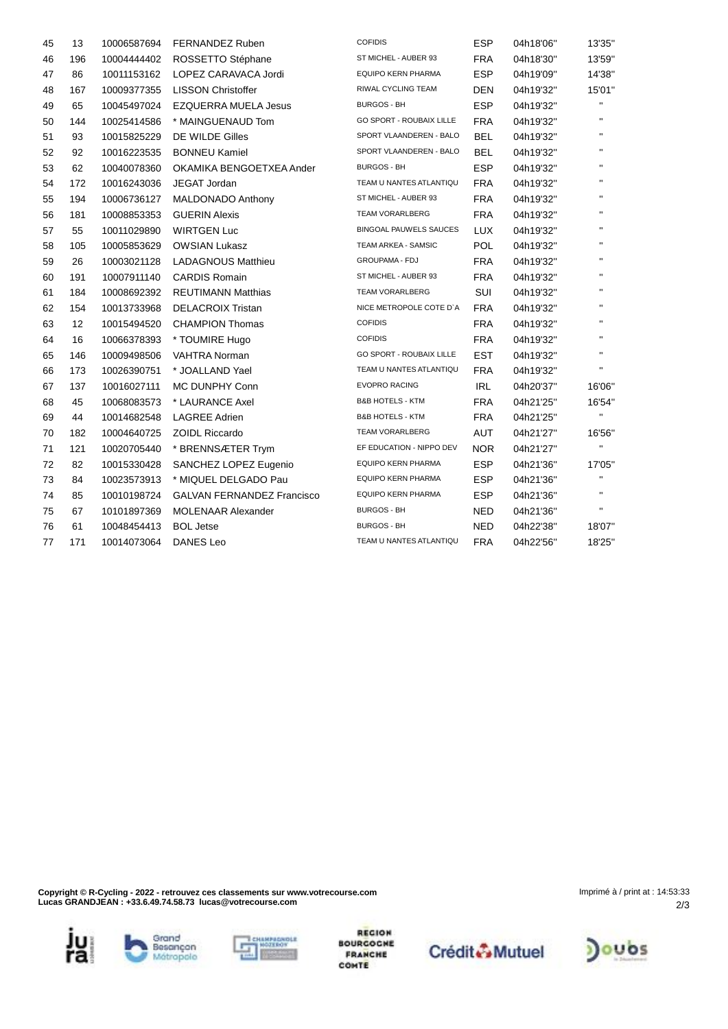| 45 | 13  | 10006587694 | FERNANDEZ Ruben                   | <b>COFIDIS</b>                  | <b>ESP</b> | 04h18'06" | 13'35"       |
|----|-----|-------------|-----------------------------------|---------------------------------|------------|-----------|--------------|
| 46 | 196 | 10004444402 | ROSSETTO Stéphane                 | ST MICHEL - AUBER 93            | <b>FRA</b> | 04h18'30" | 13'59"       |
| 47 | 86  | 10011153162 | LOPEZ CARAVACA Jordi              | EQUIPO KERN PHARMA              | <b>ESP</b> | 04h19'09" | 14'38"       |
| 48 | 167 | 10009377355 | <b>LISSON Christoffer</b>         | RIWAL CYCLING TEAM              | <b>DEN</b> | 04h19'32" | 15'01"       |
| 49 | 65  | 10045497024 | <b>EZQUERRA MUELA Jesus</b>       | <b>BURGOS - BH</b>              | <b>ESP</b> | 04h19'32" |              |
| 50 | 144 | 10025414586 | * MAINGUENAUD Tom                 | GO SPORT - ROUBAIX LILLE        | <b>FRA</b> | 04h19'32" | $\mathbf{H}$ |
| 51 | 93  | 10015825229 | DE WILDE Gilles                   | SPORT VLAANDEREN - BALO         | <b>BEL</b> | 04h19'32" | $\mathbf{H}$ |
| 52 | 92  | 10016223535 | <b>BONNEU Kamiel</b>              | SPORT VLAANDEREN - BALO         | <b>BEL</b> | 04h19'32" | $\mathbf{H}$ |
| 53 | 62  | 10040078360 | OKAMIKA BENGOETXEA Ander          | <b>BURGOS - BH</b>              | <b>ESP</b> | 04h19'32" | $\mathbf{H}$ |
| 54 | 172 | 10016243036 | <b>JEGAT Jordan</b>               | TEAM U NANTES ATLANTIQU         | <b>FRA</b> | 04h19'32" | $\mathbf{H}$ |
| 55 | 194 | 10006736127 | <b>MALDONADO Anthony</b>          | ST MICHEL - AUBER 93            | <b>FRA</b> | 04h19'32" | $\mathbf{H}$ |
| 56 | 181 | 10008853353 | <b>GUERIN Alexis</b>              | TEAM VORARLBERG                 | <b>FRA</b> | 04h19'32" | $\mathbf{H}$ |
| 57 | 55  | 10011029890 | <b>WIRTGEN Luc</b>                | <b>BINGOAL PAUWELS SAUCES</b>   | <b>LUX</b> | 04h19'32" | $\mathbf{H}$ |
| 58 | 105 | 10005853629 | <b>OWSIAN Lukasz</b>              | TEAM ARKEA - SAMSIC             | <b>POL</b> | 04h19'32" | $\mathbf{H}$ |
| 59 | 26  | 10003021128 | <b>LADAGNOUS Matthieu</b>         | <b>GROUPAMA - FDJ</b>           | <b>FRA</b> | 04h19'32" | $\mathbf{H}$ |
| 60 | 191 | 10007911140 | <b>CARDIS Romain</b>              | ST MICHEL - AUBER 93            | <b>FRA</b> | 04h19'32" | $\mathbf{H}$ |
| 61 | 184 | 10008692392 | <b>REUTIMANN Matthias</b>         | <b>TEAM VORARLBERG</b>          | SUI        | 04h19'32" | $\mathbf{H}$ |
| 62 | 154 | 10013733968 | <b>DELACROIX Tristan</b>          | NICE METROPOLE COTE D'A         | <b>FRA</b> | 04h19'32" | $\mathbf{H}$ |
| 63 | 12  | 10015494520 | <b>CHAMPION Thomas</b>            | <b>COFIDIS</b>                  | <b>FRA</b> | 04h19'32" | $\mathbf{H}$ |
| 64 | 16  | 10066378393 | * TOUMIRE Hugo                    | <b>COFIDIS</b>                  | <b>FRA</b> | 04h19'32" | $\mathbf{H}$ |
| 65 | 146 | 10009498506 | <b>VAHTRA Norman</b>              | <b>GO SPORT - ROUBAIX LILLE</b> | <b>EST</b> | 04h19'32" | $\mathbf{H}$ |
| 66 | 173 | 10026390751 | * JOALLAND Yael                   | TEAM U NANTES ATLANTIQU         | <b>FRA</b> | 04h19'32" | $\mathbf{H}$ |
| 67 | 137 | 10016027111 | MC DUNPHY Conn                    | <b>EVOPRO RACING</b>            | <b>IRL</b> | 04h20'37" | 16'06"       |
| 68 | 45  | 10068083573 | * LAURANCE Axel                   | <b>B&amp;B HOTELS - KTM</b>     | <b>FRA</b> | 04h21'25" | 16'54"       |
| 69 | 44  | 10014682548 | <b>LAGREE Adrien</b>              | <b>B&amp;B HOTELS - KTM</b>     | <b>FRA</b> | 04h21'25" | $\mathbf{H}$ |
| 70 | 182 | 10004640725 | <b>ZOIDL Riccardo</b>             | TEAM VORARLBERG                 | AUT        | 04h21'27" | 16'56"       |
| 71 | 121 | 10020705440 | * BRENNSÆTER Trym                 | EF EDUCATION - NIPPO DEV        | <b>NOR</b> | 04h21'27" | $\mathbf{H}$ |
| 72 | 82  | 10015330428 | SANCHEZ LOPEZ Eugenio             | EQUIPO KERN PHARMA              | <b>ESP</b> | 04h21'36" | 17'05"       |
| 73 | 84  | 10023573913 | * MIQUEL DELGADO Pau              | <b>EQUIPO KERN PHARMA</b>       | <b>ESP</b> | 04h21'36" | $\mathbf{H}$ |
| 74 | 85  | 10010198724 | <b>GALVAN FERNANDEZ Francisco</b> | <b>EQUIPO KERN PHARMA</b>       | <b>ESP</b> | 04h21'36" | $\mathbf{H}$ |
| 75 | 67  | 10101897369 | <b>MOLENAAR Alexander</b>         | <b>BURGOS - BH</b>              | <b>NED</b> | 04h21'36" | $\mathbf{H}$ |
| 76 | 61  | 10048454413 | <b>BOL Jetse</b>                  | <b>BURGOS - BH</b>              | <b>NED</b> | 04h22'38" | 18'07"       |
| 77 | 171 | 10014073064 | <b>DANES Leo</b>                  | TEAM U NANTES ATLANTIQU         | <b>FRA</b> | 04h22'56" | 18'25"       |

**Copyright © R-Cycling - 2022 - retrouvez ces classements sur www.votrecourse.com Lucas GRANDJEAN : +33.6.49.74.58.73 lucas@votrecourse.com**

ju<br>ra





**REGION BOURGOGHE FRANCHE**<br>COMTE



2/3 Imprimé à / print at : 14:53:33

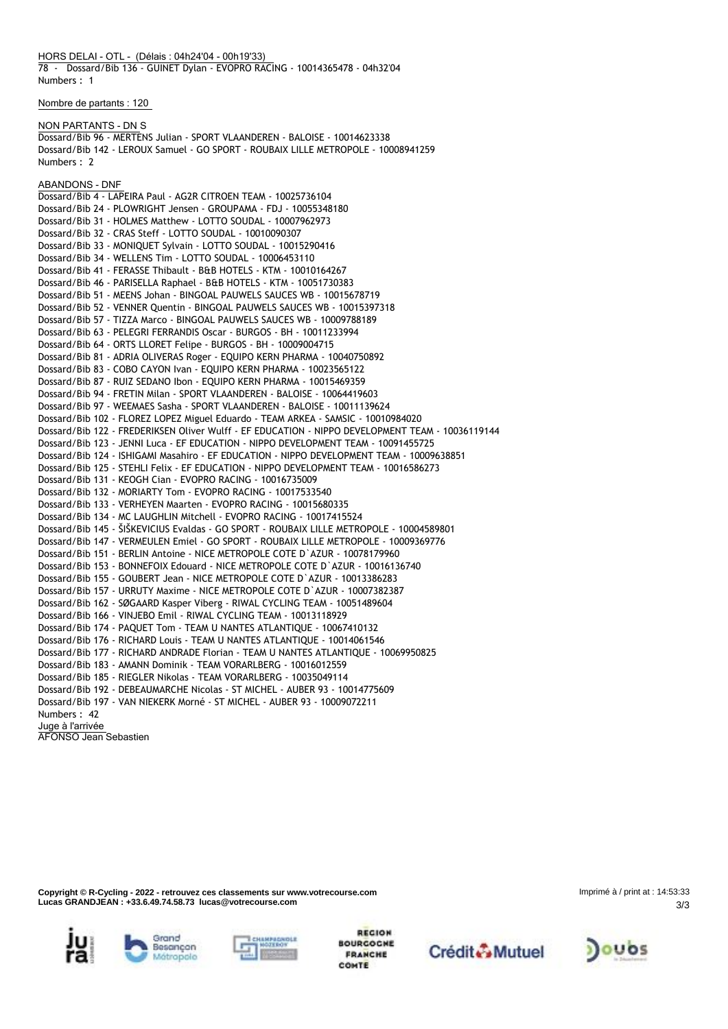**HORS DELAI - OTL - (Délais : 04h24'04 - 00h19'33)**

78 - Dossard/Bib 136 - GUINET Dylan - EVOPRO RACING - 10014365478 - 04h32'04 Numbers : 1

**Nombre de partants : 120**

#### **NON PARTANTS - DN** S

Dossard/Bib 96 - MERTENS Julian - SPORT VLAANDEREN - BALOISE - 10014623338 Dossard/Bib 142 - LEROUX Samuel - GO SPORT - ROUBAIX LILLE METROPOLE - 10008941259 Numbers : 2

#### **ABANDONS - DNF**

Dossard/Bib 4 - LAPEIRA Paul - AG2R CITROEN TEAM - 10025736104 Dossard/Bib 24 - PLOWRIGHT Jensen - GROUPAMA - FDJ - 10055348180 Dossard/Bib 31 - HOLMES Matthew - LOTTO SOUDAL - 10007962973 Dossard/Bib 32 - CRAS Steff - LOTTO SOUDAL - 10010090307 Dossard/Bib 33 - MONIQUET Sylvain - LOTTO SOUDAL - 10015290416 Dossard/Bib 34 - WELLENS Tim - LOTTO SOUDAL - 10006453110 Dossard/Bib 41 - FERASSE Thibault - B&B HOTELS - KTM - 10010164267 Dossard/Bib 46 - PARISELLA Raphael - B&B HOTELS - KTM - 10051730383 Dossard/Bib 51 - MEENS Johan - BINGOAL PAUWELS SAUCES WB - 10015678719 Dossard/Bib 52 - VENNER Quentin - BINGOAL PAUWELS SAUCES WB - 10015397318 Dossard/Bib 57 - TIZZA Marco - BINGOAL PAUWELS SAUCES WB - 10009788189 Dossard/Bib 63 - PELEGRI FERRANDIS Oscar - BURGOS - BH - 10011233994 Dossard/Bib 64 - ORTS LLORET Felipe - BURGOS - BH - 10009004715 Dossard/Bib 81 - ADRIA OLIVERAS Roger - EQUIPO KERN PHARMA - 10040750892 Dossard/Bib 83 - COBO CAYON Ivan - EQUIPO KERN PHARMA - 10023565122 Dossard/Bib 87 - RUIZ SEDANO Ibon - EQUIPO KERN PHARMA - 10015469359 Dossard/Bib 94 - FRETIN Milan - SPORT VLAANDEREN - BALOISE - 10064419603 Dossard/Bib 97 - WEEMAES Sasha - SPORT VLAANDEREN - BALOISE - 10011139624 Dossard/Bib 102 - FLOREZ LOPEZ Miguel Eduardo - TEAM ARKEA - SAMSIC - 10010984020 Dossard/Bib 122 - FREDERIKSEN Oliver Wulff - EF EDUCATION - NIPPO DEVELOPMENT TEAM - 10036119144 Dossard/Bib 123 - JENNI Luca - EF EDUCATION - NIPPO DEVELOPMENT TEAM - 10091455725 Dossard/Bib 124 - ISHIGAMI Masahiro - EF EDUCATION - NIPPO DEVELOPMENT TEAM - 10009638851 Dossard/Bib 125 - STEHLI Felix - EF EDUCATION - NIPPO DEVELOPMENT TEAM - 10016586273 Dossard/Bib 131 - KEOGH Cian - EVOPRO RACING - 10016735009 Dossard/Bib 132 - MORIARTY Tom - EVOPRO RACING - 10017533540 Dossard/Bib 133 - VERHEYEN Maarten - EVOPRO RACING - 10015680335 Dossard/Bib 134 - MC LAUGHLIN Mitchell - EVOPRO RACING - 10017415524 Dossard/Bib 145 - ŠIŠKEVICIUS Evaldas - GO SPORT - ROUBAIX LILLE METROPOLE - 10004589801 Dossard/Bib 147 - VERMEULEN Emiel - GO SPORT - ROUBAIX LILLE METROPOLE - 10009369776 Dossard/Bib 151 - BERLIN Antoine - NICE METROPOLE COTE D`AZUR - 10078179960 Dossard/Bib 153 - BONNEFOIX Edouard - NICE METROPOLE COTE D`AZUR - 10016136740 Dossard/Bib 155 - GOUBERT Jean - NICE METROPOLE COTE D`AZUR - 10013386283 Dossard/Bib 157 - URRUTY Maxime - NICE METROPOLE COTE D`AZUR - 10007382387 Dossard/Bib 162 - SØGAARD Kasper Viberg - RIWAL CYCLING TEAM - 10051489604 Dossard/Bib 166 - VINJEBO Emil - RIWAL CYCLING TEAM - 10013118929 Dossard/Bib 174 - PAQUET Tom - TEAM U NANTES ATLANTIQUE - 10067410132 Dossard/Bib 176 - RICHARD Louis - TEAM U NANTES ATLANTIQUE - 10014061546 Dossard/Bib 177 - RICHARD ANDRADE Florian - TEAM U NANTES ATLANTIQUE - 10069950825 Dossard/Bib 183 - AMANN Dominik - TEAM VORARLBERG - 10016012559 Dossard/Bib 185 - RIEGLER Nikolas - TEAM VORARLBERG - 10035049114 Dossard/Bib 192 - DEBEAUMARCHE Nicolas - ST MICHEL - AUBER 93 - 10014775609 Dossard/Bib 197 - VAN NIEKERK Morné - ST MICHEL - AUBER 93 - 10009072211 Numbers : 42 **Juge à l'arrivée** AFONSO Jean Sebastien

**Copyright © R-Cycling - 2022 - retrouvez ces classements sur www.votrecourse.com Lucas GRANDJEAN : +33.6.49.74.58.73 lucas@votrecourse.com**

3/3 Imprimé à / print at : 14:53:33











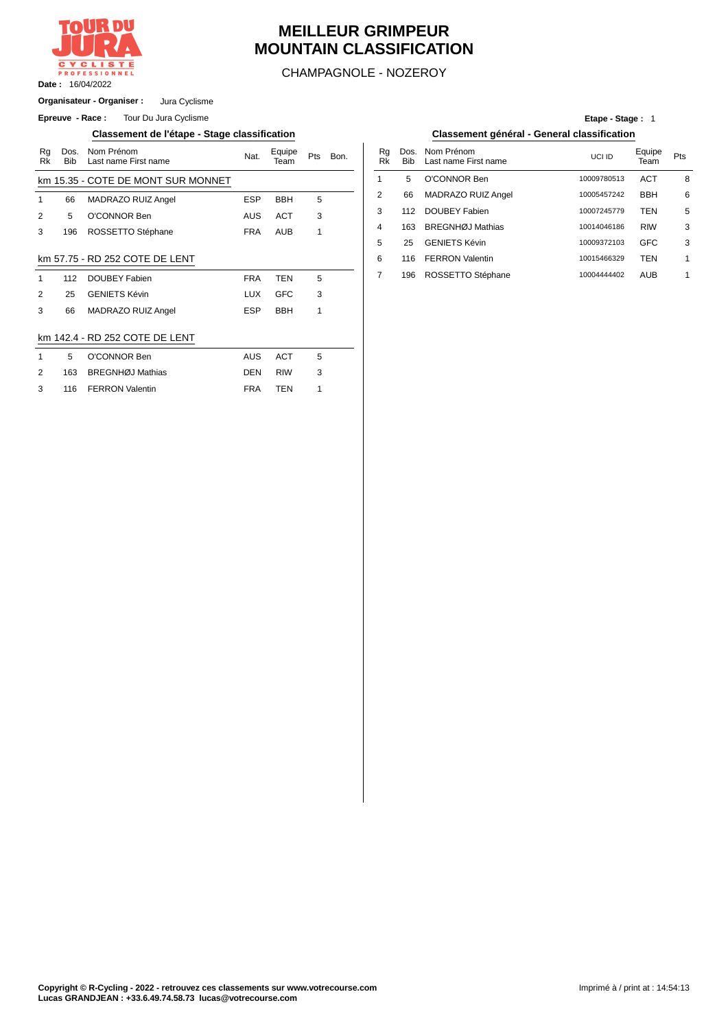

# **MEILLEUR GRIMPEUR MOUNTAIN CLASSIFICATION**

CHAMPAGNOLE - NOZEROY

**Organisateur - Organiser :** Jura Cyclisme

**Epreuve - Race :** Tour Du Jura Cyclisme

### **Classement de l'étape - Stage classification Classement général - General classification**

| Rg<br>Rk                       | Dos.<br><b>Bib</b> | Nom Prénom<br>Last name First name | Nat.       | Equipe<br>Team | Pts | Bon. | Rg<br>Rk       | Dos<br><b>Bib</b> |  |  |
|--------------------------------|--------------------|------------------------------------|------------|----------------|-----|------|----------------|-------------------|--|--|
|                                |                    | km 15.35 - COTE DE MONT SUR MONNET |            |                |     |      | 1              | 5                 |  |  |
| 1                              | 66                 | MADRAZO RUIZ Angel                 | <b>ESP</b> | <b>BBH</b>     | 5   |      | $\overline{2}$ | 66                |  |  |
| 2                              | 5                  | O'CONNOR Ben                       | <b>AUS</b> | <b>ACT</b>     | 3   |      | 3              | 112               |  |  |
| 3                              | 196                | ROSSETTO Stéphane                  | <b>FRA</b> | <b>AUB</b>     | 1   |      | 4              | 163               |  |  |
|                                |                    |                                    |            |                |     |      | 5              | 25                |  |  |
|                                |                    | km 57.75 - RD 252 COTE DE LENT     |            |                |     |      | 6              | 116               |  |  |
| 1                              | 112                | <b>DOUBEY Fabien</b>               | <b>FRA</b> | <b>TEN</b>     | 5   |      | 7              | 196               |  |  |
| 2                              | 25                 | <b>GENIETS Kévin</b>               | <b>LUX</b> | <b>GFC</b>     | 3   |      |                |                   |  |  |
| 3                              | 66                 | MADRAZO RUIZ Angel                 | <b>ESP</b> | <b>BBH</b>     | 1   |      |                |                   |  |  |
|                                |                    |                                    |            |                |     |      |                |                   |  |  |
| km 142.4 - RD 252 COTE DE LENT |                    |                                    |            |                |     |      |                |                   |  |  |
| 1                              | 5                  | O'CONNOR Ben                       | AUS        | <b>ACT</b>     | 5   |      |                |                   |  |  |
| 2                              | 163                | <b>BREGNHØJ Mathias</b>            | <b>DEN</b> | <b>RIW</b>     | 3   |      |                |                   |  |  |
|                                |                    |                                    |            |                |     |      |                |                   |  |  |

# **Etape - Stage :** 1

| Nom Prénom<br>Last name First name | Nat.       | Equipe<br>Team | Pts | Bon. | Ra<br>Rk | Dos.<br><b>Bib</b> | Nom Prénom<br>Last name First name | UCI ID      | Equipe<br>Team | Pts |
|------------------------------------|------------|----------------|-----|------|----------|--------------------|------------------------------------|-------------|----------------|-----|
| COTE DE MONT SUR MONNET            |            |                |     |      |          | 5                  | O'CONNOR Ben                       | 10009780513 | <b>ACT</b>     | 8   |
| MADRAZO RUIZ Angel                 | <b>ESP</b> | <b>BBH</b>     | 5   |      | n        | 66                 | MADRAZO RUIZ Angel                 | 10005457242 | <b>BBH</b>     | 6   |
| O'CONNOR Ben                       | AUS        | <b>ACT</b>     | 3   |      | 3        | 112                | DOUBEY Fabien                      | 10007245779 | TEN            | 5   |
| ROSSETTO Stéphane                  | <b>FRA</b> | <b>AUB</b>     |     |      | 4        | 163                | BREGNHØJ Mathias                   | 10014046186 | <b>RIW</b>     | 3   |
|                                    |            |                |     |      | 5        | 25                 | <b>GENIETS Kévin</b>               | 10009372103 | <b>GFC</b>     | 3   |
| RD 252 COTE DE LENT                |            |                |     |      | 6        | 116                | <b>FERRON Valentin</b>             | 10015466329 | TEN            |     |
| DOUBEY Fabien                      | <b>FRA</b> | TEN            | 5   |      |          | 196                | ROSSETTO Stéphane                  | 10004444402 | <b>AUB</b>     | 1   |
|                                    |            |                |     |      |          |                    |                                    |             |                |     |

|               | 5 O'CONNOR Ben       | AUS ACT | - 5          |
|---------------|----------------------|---------|--------------|
| $\mathcal{P}$ | 163 BREGNHØJ Mathias | DEN RIW | $\mathbf{3}$ |
| $\mathcal{R}$ | 116 FERRON Valentin  | FRA TFN |              |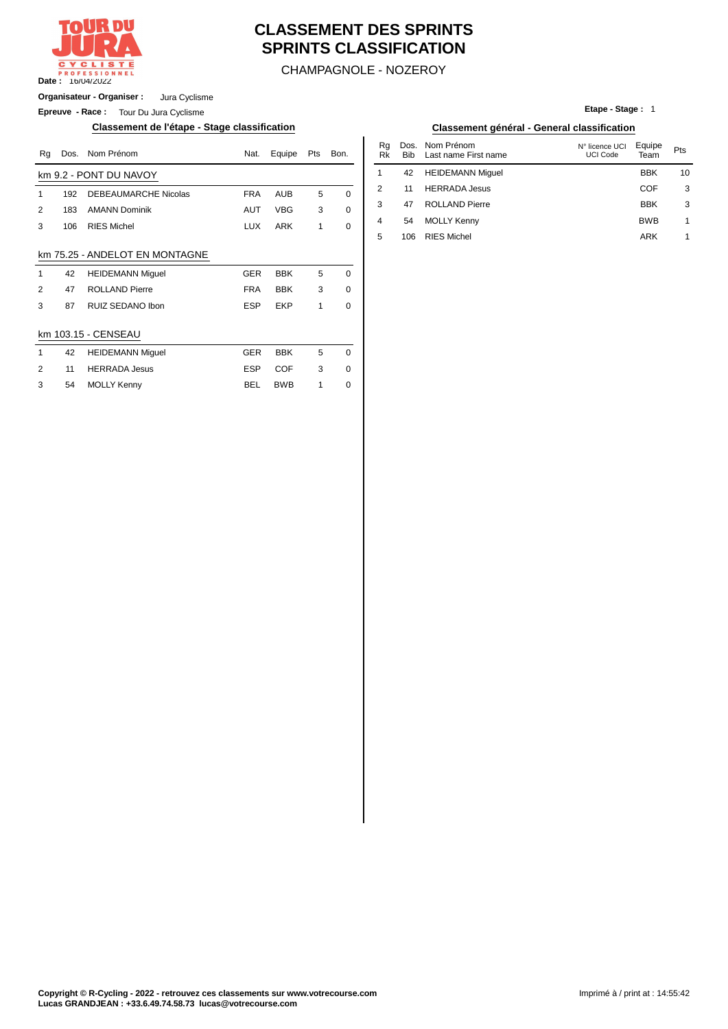

# **CLASSEMENT DES SPRINTS SPRINTS CLASSIFICATION**

CHAMPAGNOLE - NOZEROY

**Organisateur - Organiser :** Jura Cyclisme

**Epreuve - Race :** Tour Du Jura Cyclisme

#### **Classement de l'étape - Stage classification Classement général - General classification**

| Rg             | Dos. | Nom Prénom                     | Nat.       | Equipe     | Pts          | Bon.        | Rq<br><b>Rk</b> | Dos.<br><b>Bib</b> | Nom Prénom<br>Last name First name | N° licence UCI<br>UCI Code | Equipe<br>Team | Pts            |
|----------------|------|--------------------------------|------------|------------|--------------|-------------|-----------------|--------------------|------------------------------------|----------------------------|----------------|----------------|
|                |      | km 9.2 - PONT DU NAVOY         |            |            |              |             |                 | 42                 | <b>HEIDEMANN Miguel</b>            |                            | <b>BBK</b>     | 1 <sup>1</sup> |
| 1              | 192  | <b>DEBEAUMARCHE Nicolas</b>    | <b>FRA</b> | AUB        | 5            | $\Omega$    | 2               | 11                 | <b>HERRADA Jesus</b>               |                            | <b>COF</b>     | G              |
| 2              | 183  | <b>AMANN Dominik</b>           | AUT        | <b>VBG</b> | 3            | 0           | 3               | 47                 | <b>ROLLAND Pierre</b>              |                            | BBK            | ć              |
| 3              | 106  | <b>RIES Michel</b>             | <b>LUX</b> | <b>ARK</b> | $\mathbf{1}$ | 0           | 4               | 54                 | <b>MOLLY Kenny</b>                 |                            | <b>BWB</b>     | 1              |
|                |      |                                |            |            |              |             | 5               | 106                | <b>RIES Michel</b>                 |                            | ARK            | 1              |
|                |      | km 75.25 - ANDELOT EN MONTAGNE |            |            |              |             |                 |                    |                                    |                            |                |                |
| 1              | 42   | <b>HEIDEMANN Miguel</b>        | <b>GER</b> | <b>BBK</b> | 5            | $\mathbf 0$ |                 |                    |                                    |                            |                |                |
| $\overline{2}$ | 47   | <b>ROLLAND Pierre</b>          | <b>FRA</b> | <b>BBK</b> | 3            | 0           |                 |                    |                                    |                            |                |                |
| 3              | 87   | RUIZ SEDANO Ibon               | <b>ESP</b> | EKP        | 1            | 0           |                 |                    |                                    |                            |                |                |
|                |      | km 103.15 - CENSEAU            |            |            |              |             |                 |                    |                                    |                            |                |                |
| 1              | 42   | <b>HEIDEMANN Miguel</b>        | <b>GER</b> | <b>BBK</b> | 5            | 0           |                 |                    |                                    |                            |                |                |
| 2              | 11   | <b>HERRADA Jesus</b>           | <b>ESP</b> | COF        | 3            | 0           |                 |                    |                                    |                            |                |                |
| 3              | 54   | <b>MOLLY Kenny</b>             | BEL        | <b>BWB</b> |              | 0           |                 |                    |                                    |                            |                |                |

#### **Etape - Stage :** 1

| Nat. | Equipe     | Pts | Bon. | Rq<br>Rk | Dos.<br>Bib | Nom Prénom<br>Last name First name | N° licence UCI<br>UCI Code | Equipe<br>Team | Pts |
|------|------------|-----|------|----------|-------------|------------------------------------|----------------------------|----------------|-----|
|      |            |     |      |          | 42          | <b>HEIDEMANN Miquel</b>            |                            | <b>BBK</b>     | 10  |
| FRA  | <b>AUB</b> | 5   | 0    | 2        | 11          | <b>HERRADA Jesus</b>               |                            | <b>COF</b>     | 3   |
| AUT  | VBG        | 3   | 0    | 3        | 47          | <b>ROLLAND Pierre</b>              |                            | <b>BBK</b>     | 3   |
| LUX  | <b>ARK</b> |     | 0    | 4        | 54          | <b>MOLLY Kenny</b>                 |                            | <b>BWB</b>     | 1   |
|      |            |     |      | 5        | 106         | <b>RIES Michel</b>                 |                            | ARK            |     |
|      |            |     |      |          |             |                                    |                            |                |     |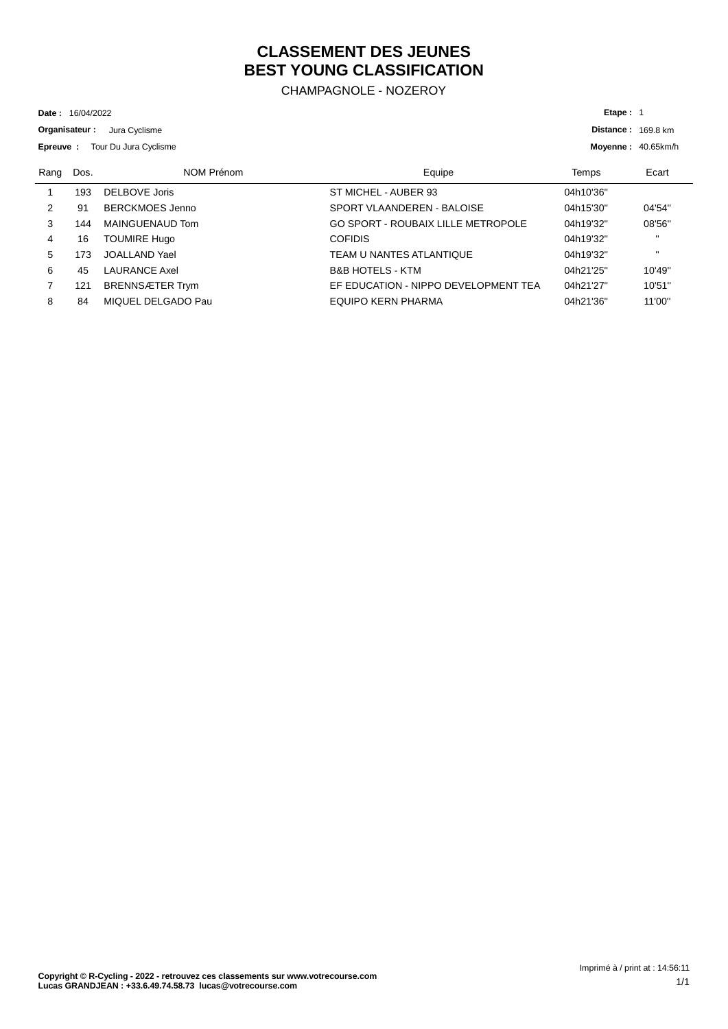# **CLASSEMENT DES JEUNES BEST YOUNG CLASSIFICATION**

CHAMPAGNOLE - NOZEROY

16/04/2022 **Date :**

**Organisateur :** Jura Cyclisme

| Epreuve : |      | Tour Du Jura Cyclisme  |                                           | Moyenne: 40.65km/h |              |  |
|-----------|------|------------------------|-------------------------------------------|--------------------|--------------|--|
| Rang      | Dos. | NOM Prénom             | Equipe                                    | Temps              | Ecart        |  |
|           | 193  | DELBOVE Joris          | ST MICHEL - AUBER 93                      | 04h10'36"          |              |  |
| 2         | 91   | BERCKMOES Jenno        | SPORT VLAANDEREN - BALOISE                | 04h15'30"          | 04'54"       |  |
| 3         | 144  | MAINGUENAUD Tom        | <b>GO SPORT - ROUBAIX LILLE METROPOLE</b> | 04h19'32"          | 08'56"       |  |
| 4         | 16   | <b>TOUMIRE Hugo</b>    | <b>COFIDIS</b>                            | 04h19'32"          | $\mathbf{H}$ |  |
| 5         | 173  | JOALLAND Yael          | TEAM U NANTES ATLANTIQUE                  | 04h19'32"          | $\mathbf{H}$ |  |
| 6         | 45   | <b>LAURANCE Axel</b>   | <b>B&amp;B HOTELS - KTM</b>               | 04h21'25"          | 10'49"       |  |
|           | 121  | <b>BRENNSÆTER Trym</b> | EF EDUCATION - NIPPO DEVELOPMENT TEA      | 04h21'27"          | 10'51"       |  |
| 8         | 84   | MIQUEL DELGADO Pau     | EQUIPO KERN PHARMA                        | 04h21'36"          | 11'00"       |  |

**Distance : 169.8 km** 

**Etape :** 1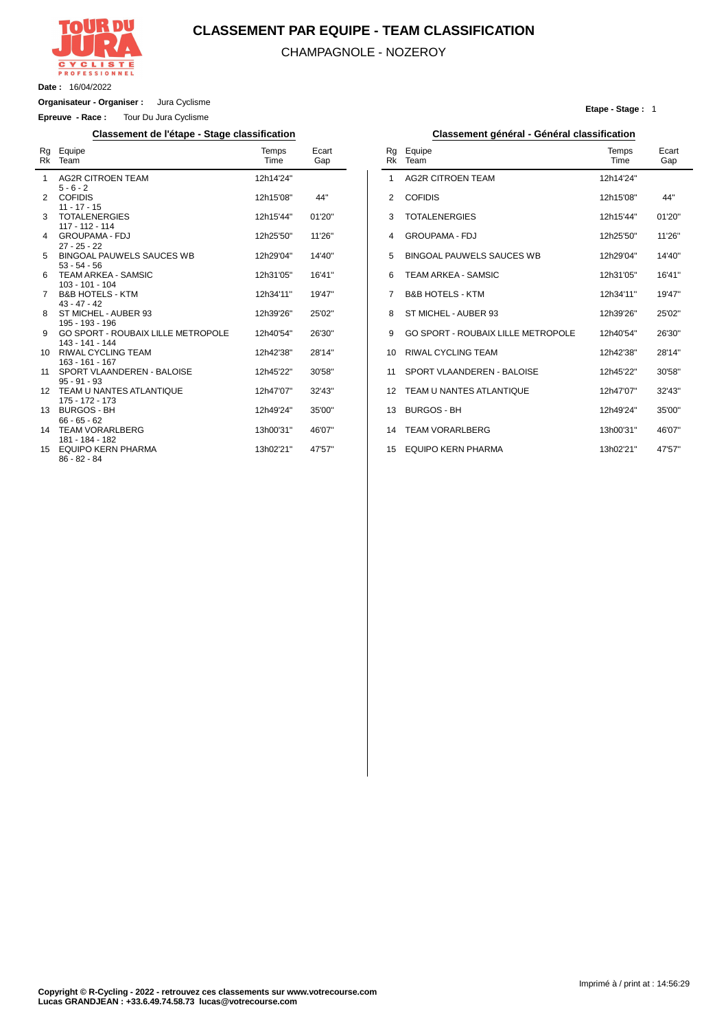

## **CLASSEMENT PAR EQUIPE - TEAM CLASSIFICATION**

CHAMPAGNOLE - NOZEROY

**Date :** 16/04/2022

L.

**Organisateur - Organiser :** Jura Cyclisme

**Epreuve - Race :** Tour Du Jura Cyclisme

| Rg<br>Rk          | Equipe<br>Team                                        | Temps<br>Time | Ecart<br>Gap |
|-------------------|-------------------------------------------------------|---------------|--------------|
| 1                 | <b>AG2R CITROEN TEAM</b>                              | 12h14'24"     |              |
| 2                 | $5 - 6 - 2$<br><b>COFIDIS</b><br>$11 - 17 - 15$       | 12h15'08"     | 44"          |
| 3                 | <b>TOTALENERGIES</b><br>117 - 112 - 114               | 12h15'44"     | 01'20"       |
| 4                 | <b>GROUPAMA - FDJ</b><br>$27 - 25 - 22$               | 12h25'50"     | 11'26"       |
| 5                 | BINGOAL PAUWELS SAUCES WB<br>$53 - 54 - 56$           | 12h29'04"     | 14'40"       |
| 6                 | <b>TEAM ARKEA - SAMSIC</b><br>$103 - 101 - 104$       | 12h31'05"     | 16'41"       |
| 7                 | <b>B&amp;B HOTELS - KTM</b><br>$43 - 47 - 42$         | 12h34'11"     | 19'47"       |
| 8                 | ST MICHEL - AUBER 93<br>195 - 193 - 196               | 12h39'26"     | 25'02"       |
| 9                 | GO SPORT - ROUBAIX LILLE METROPOLE<br>143 - 141 - 144 | 12h40'54"     | 26'30"       |
| 10                | <b>RIWAL CYCLING TEAM</b><br>$163 - 161 - 167$        | 12h42'38"     | 28'14"       |
| 11                | SPORT VLAANDEREN - BALOISE<br>$95 - 91 - 93$          | 12h45'22"     | 30'58"       |
| $12 \overline{ }$ | TEAM U NANTES ATLANTIQUE<br>175 - 172 - 173           | 12h47'07"     | 32'43"       |
| 13                | <b>BURGOS - BH</b><br>$66 - 65 - 62$                  | 12h49'24"     | 35'00"       |
| 14                | <b>TEAM VORARLBERG</b><br>181 - 184 - 182             | 13h00'31"     | 46'07"       |
| 15                | EQUIPO KERN PHARMA<br>$86 - 82 - 84$                  | 13h02'21"     | 47'57"       |

#### **Etape - Stage :** 1

### **Classement de l'étape - Stage classification Classement général - Général classification**

| Rq<br><b>Rk</b> | Equipe<br>Team                            | Temps<br><b>Time</b> | Ecart<br>Gap |
|-----------------|-------------------------------------------|----------------------|--------------|
| 1               | <b>AG2R CITROFN TFAM</b>                  | 12h14'24"            |              |
| $\overline{2}$  | <b>COFIDIS</b>                            | 12h15'08"            | 44"          |
| 3               | <b>TOTALENERGIES</b>                      | 12h15'44"            | 01'20''      |
| 4               | GROUPAMA - FDJ                            | 12h25'50"            | 11'26"       |
| 5               | <b>BINGOAL PAUWELS SAUCES WB</b>          | 12h29'04"            | 14'40"       |
| 6               | TEAM ARKEA - SAMSIC                       | 12h31'05"            | 16'41"       |
| 7               | <b>B&amp;B HOTFLS - KTM</b>               | 12h34'11"            | 19'47"       |
| 8               | ST MICHEL - AUBER 93                      | 12h39'26"            | 25'02"       |
| 9               | <b>GO SPORT - ROUBAIX LILLE METROPOLE</b> | 12h40'54"            | 26'30"       |
| 10              | RIWAL CYCLING TEAM                        | 12h42'38"            | 28'14"       |
| 11              | SPORT VI AANDEREN - BAI OISE              | 12h45'22"            | 30'58"       |
| 12              | <b>TEAM U NANTES ATLANTIQUE</b>           | 12h47'07"            | 32'43"       |
| 13              | <b>BURGOS - BH</b>                        | 12h49'24"            | 35'00"       |
| 14              | <b>TEAM VORARLBERG</b>                    | 13h00'31"            | 46'07"       |
| 15              | <b>EQUIPO KERN PHARMA</b>                 | 13h02'21"            | 47'57"       |